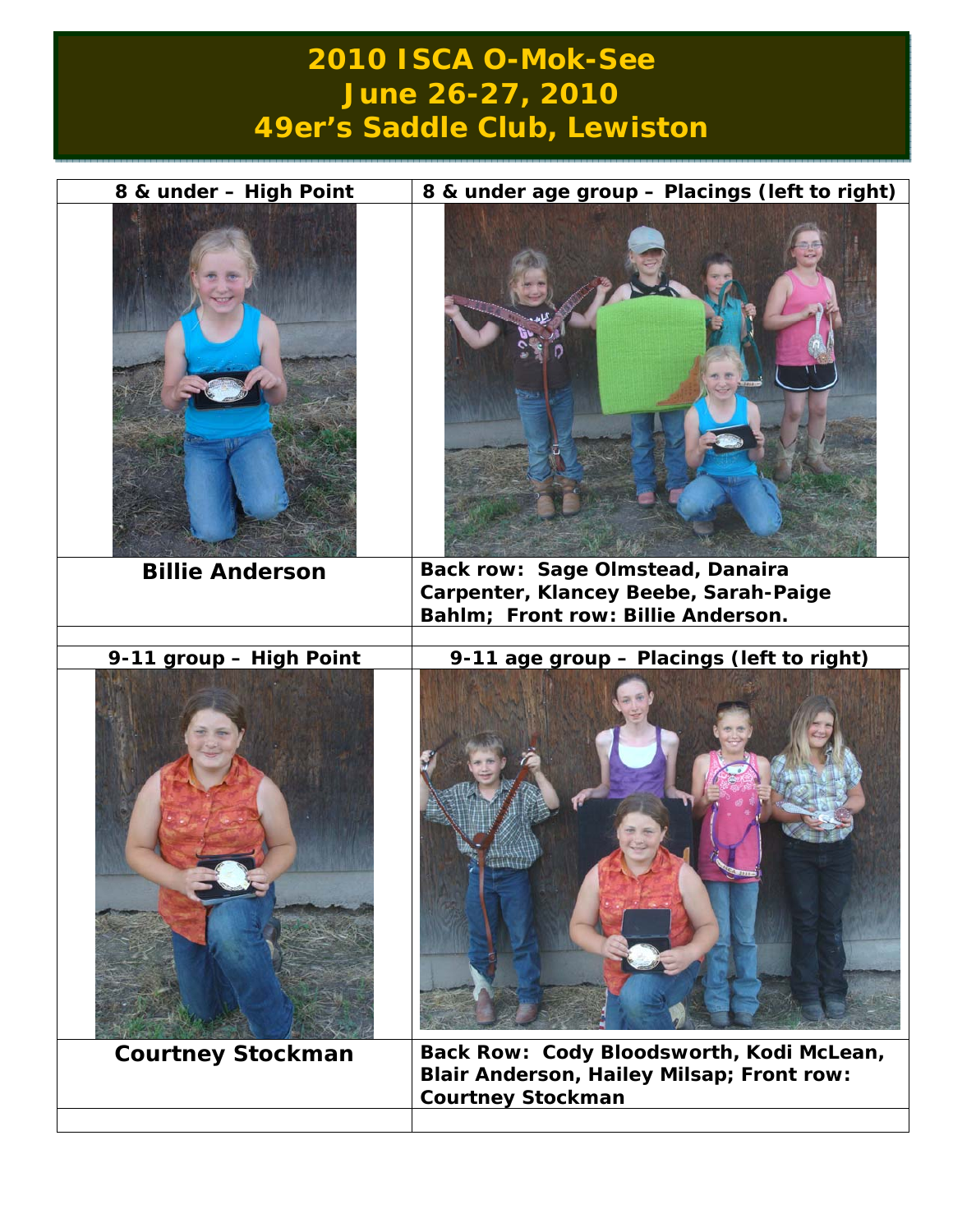## **2010 ISCA O-Mok-See June 26-27, 2010 49er's Saddle Club, Lewiston**

| 8 & under - High Point   | 8 & under age group - Placings (left to right)                                                                    |
|--------------------------|-------------------------------------------------------------------------------------------------------------------|
|                          |                                                                                                                   |
| <b>Billie Anderson</b>   | <b>Back row: Sage Olmstead, Danaira</b>                                                                           |
|                          | Carpenter, Klancey Beebe, Sarah-Paige                                                                             |
|                          | Bahlm; Front row: Billie Anderson.                                                                                |
| 9-11 group - High Point  | 9-11 age group - Placings (left to right)                                                                         |
|                          |                                                                                                                   |
| <b>Courtney Stockman</b> | Back Row: Cody Bloodsworth, Kodi McLean,<br>Blair Anderson, Hailey Milsap; Front row:<br><b>Courtney Stockman</b> |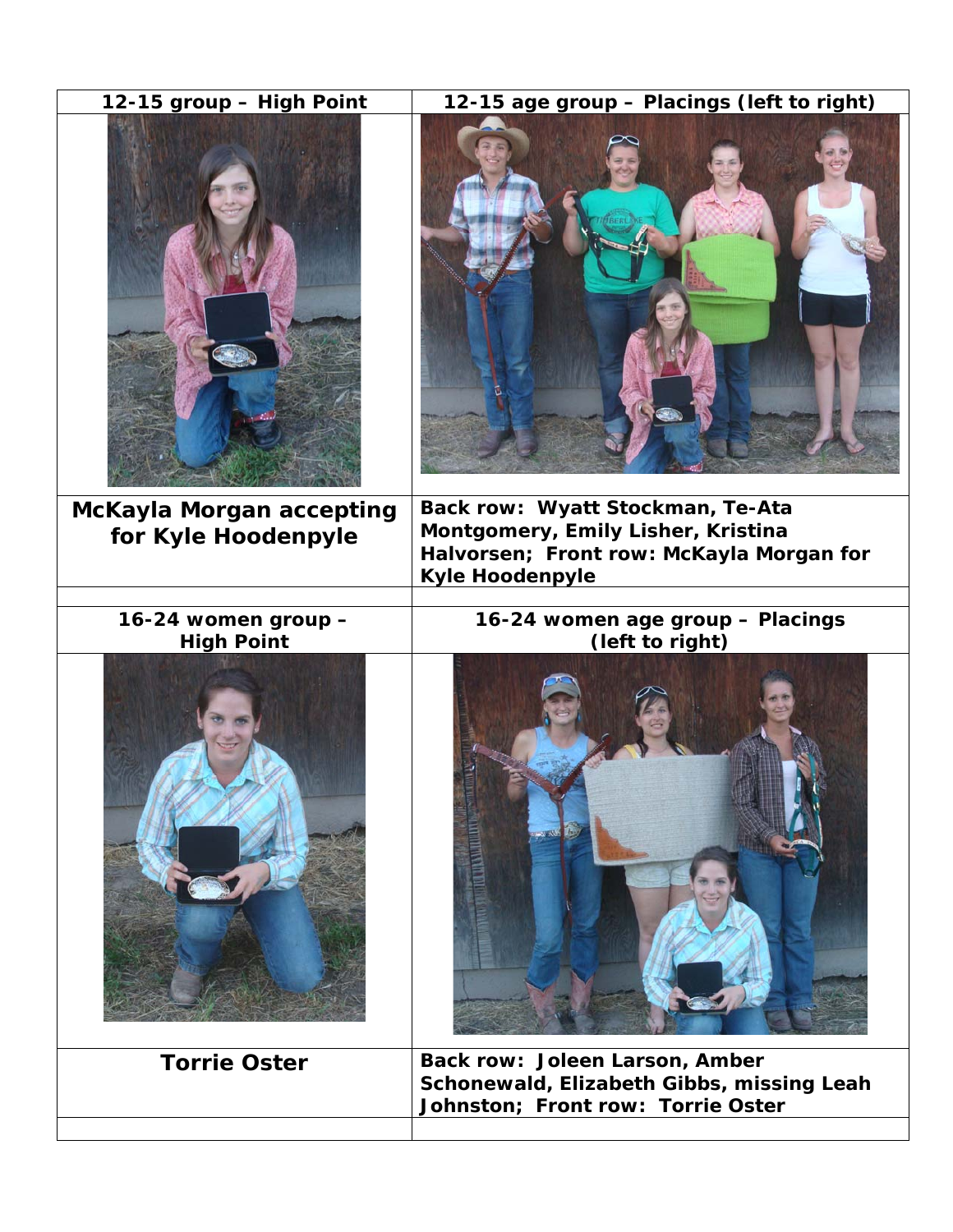| 12-15 group - High Point                        | 12-15 age group - Placings (left to right)                                                                                            |
|-------------------------------------------------|---------------------------------------------------------------------------------------------------------------------------------------|
|                                                 |                                                                                                                                       |
| McKayla Morgan accepting<br>for Kyle Hoodenpyle | Back row: Wyatt Stockman, Te-Ata<br>Montgomery, Emily Lisher, Kristina<br>Halvorsen; Front row: McKayla Morgan for<br>Kyle Hoodenpyle |
| 16-24 women group -                             | 16-24 women age group - Placings                                                                                                      |
| <b>High Point</b>                               | (left to right)                                                                                                                       |
| <b>Torrie Oster</b>                             | Back row: Joleen Larson, Amber<br>Schonewald, Elizabeth Gibbs, missing Leah<br>Johnston; Front row: Torrie Oster                      |
|                                                 |                                                                                                                                       |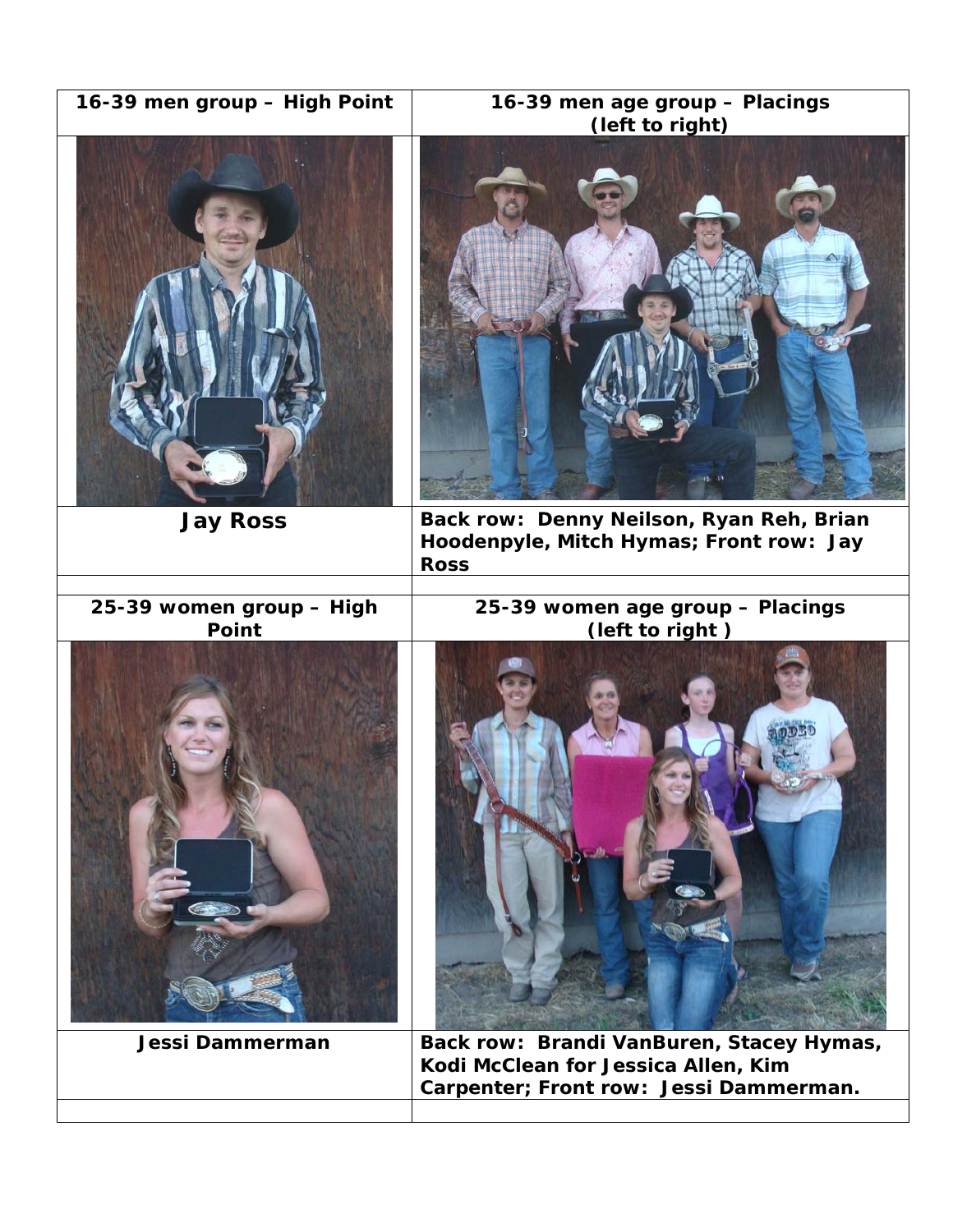| 16-39 men group - High Point | 16-39 men age group - Placings<br>(left to right)                                                                         |
|------------------------------|---------------------------------------------------------------------------------------------------------------------------|
| <b>Jay Ross</b>              | Back row: Denny Neilson, Ryan Reh, Brian<br>Hoodenpyle, Mitch Hymas; Front row: Jay<br><b>Ross</b>                        |
| 25-39 women group - High     | 25-39 women age group - Placings                                                                                          |
| Point                        | (left to right)                                                                                                           |
| Jessi Dammerman              | Back row: Brandi VanBuren, Stacey Hymas,<br>Kodi McClean for Jessica Allen, Kim<br>Carpenter; Front row: Jessi Dammerman. |